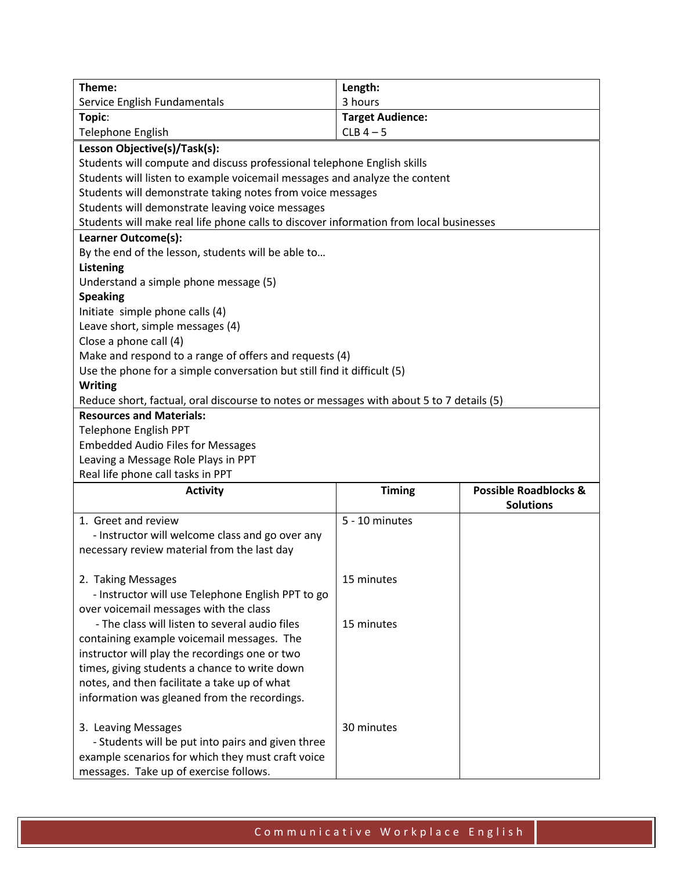| Theme:                                                                                   | Length:                 |                                  |  |
|------------------------------------------------------------------------------------------|-------------------------|----------------------------------|--|
| Service English Fundamentals                                                             | 3 hours                 |                                  |  |
| Topic:                                                                                   | <b>Target Audience:</b> |                                  |  |
| <b>Telephone English</b>                                                                 | $CLB$ 4 - 5             |                                  |  |
| Lesson Objective(s)/Task(s):                                                             |                         |                                  |  |
| Students will compute and discuss professional telephone English skills                  |                         |                                  |  |
| Students will listen to example voicemail messages and analyze the content               |                         |                                  |  |
| Students will demonstrate taking notes from voice messages                               |                         |                                  |  |
| Students will demonstrate leaving voice messages                                         |                         |                                  |  |
| Students will make real life phone calls to discover information from local businesses   |                         |                                  |  |
| Learner Outcome(s):                                                                      |                         |                                  |  |
| By the end of the lesson, students will be able to                                       |                         |                                  |  |
| <b>Listening</b>                                                                         |                         |                                  |  |
| Understand a simple phone message (5)                                                    |                         |                                  |  |
| <b>Speaking</b>                                                                          |                         |                                  |  |
| Initiate simple phone calls (4)                                                          |                         |                                  |  |
| Leave short, simple messages (4)                                                         |                         |                                  |  |
| Close a phone call (4)                                                                   |                         |                                  |  |
| Make and respond to a range of offers and requests (4)                                   |                         |                                  |  |
| Use the phone for a simple conversation but still find it difficult (5)                  |                         |                                  |  |
| <b>Writing</b>                                                                           |                         |                                  |  |
| Reduce short, factual, oral discourse to notes or messages with about 5 to 7 details (5) |                         |                                  |  |
| <b>Resources and Materials:</b>                                                          |                         |                                  |  |
| <b>Telephone English PPT</b>                                                             |                         |                                  |  |
| <b>Embedded Audio Files for Messages</b>                                                 |                         |                                  |  |
| Leaving a Message Role Plays in PPT                                                      |                         |                                  |  |
| Real life phone call tasks in PPT                                                        |                         |                                  |  |
| <b>Activity</b>                                                                          | <b>Timing</b>           | <b>Possible Roadblocks &amp;</b> |  |
|                                                                                          |                         | <b>Solutions</b>                 |  |
| 1. Greet and review                                                                      | 5 - 10 minutes          |                                  |  |
| - Instructor will welcome class and go over any                                          |                         |                                  |  |
| necessary review material from the last day                                              |                         |                                  |  |
|                                                                                          |                         |                                  |  |
| 2. Taking Messages                                                                       | 15 minutes              |                                  |  |
| - Instructor will use Telephone English PPT to go                                        |                         |                                  |  |
| over voicemail messages with the class                                                   |                         |                                  |  |
| - The class will listen to several audio files                                           | 15 minutes              |                                  |  |
| containing example voicemail messages. The                                               |                         |                                  |  |
| instructor will play the recordings one or two                                           |                         |                                  |  |
| times, giving students a chance to write down                                            |                         |                                  |  |
| notes, and then facilitate a take up of what                                             |                         |                                  |  |
|                                                                                          |                         |                                  |  |
| information was gleaned from the recordings.                                             |                         |                                  |  |
|                                                                                          | 30 minutes              |                                  |  |
| 3. Leaving Messages                                                                      |                         |                                  |  |
| - Students will be put into pairs and given three                                        |                         |                                  |  |
| example scenarios for which they must craft voice                                        |                         |                                  |  |
| messages. Take up of exercise follows.                                                   |                         |                                  |  |

Communicative Workplace English